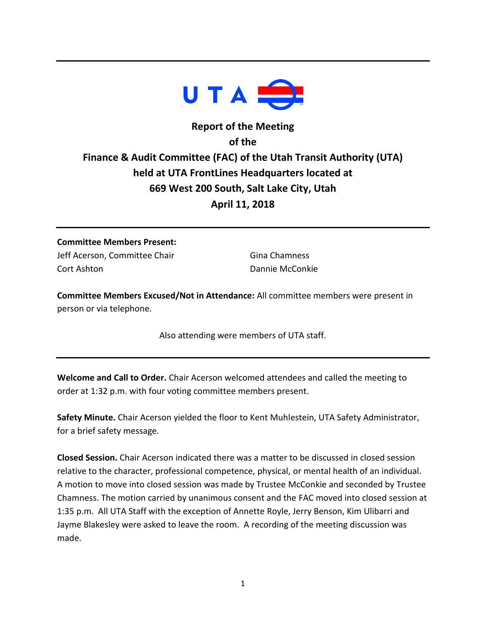

## **Report of the Meeting of the Finance & Audit Committee (FAC) of the Utah Transit Authority (UTA) held at UTA FrontLines Headquarters located at 669 West 200 South, Salt Lake City, Utah April 11, 2018**

**Committee Members Present:** Jeff Acerson, Committee Chair Cort Ashton

Gina Chamness Dannie McConkie

**Committee Members Excused/Not in Attendance:** All committee members were present in person or via telephone.

Also attending were members of UTA staff.

**Welcome and Call to Order.** Chair Acerson welcomed attendees and called the meeting to order at 1:32 p.m. with four voting committee members present.

**Safety Minute.** Chair Acerson yielded the floor to Kent Muhlestein, UTA Safety Administrator, for a brief safety message.

**Closed Session.** Chair Acerson indicated there was a matter to be discussed in closed session relative to the character, professional competence, physical, or mental health of an individual. A motion to move into closed session was made by Trustee McConkie and seconded by Trustee Chamness. The motion carried by unanimous consent and the FAC moved into closed session at 1:35 p.m. All UTA Staff with the exception of Annette Royle, Jerry Benson, Kim Ulibarri and Jayme Blakesley were asked to leave the room. A recording of the meeting discussion was made.